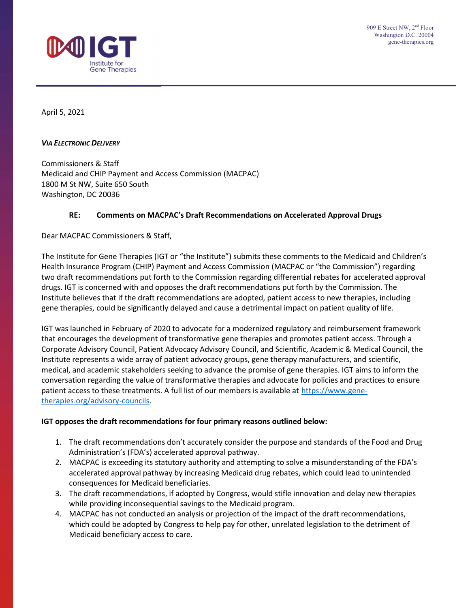

April 5, 2021

#### VIA ELECTRONIC DELIVERY

Commissioners & Staff Medicaid and CHIP Payment and Access Commission (MACPAC) 1800 M St NW, Suite 650 South Washington, DC 20036

#### RE: Comments on MACPAC's Draft Recommendations on Accelerated Approval Drugs

Dear MACPAC Commissioners & Staff,

The Institute for Gene Therapies (IGT or "the Institute") submits these comments to the Medicaid and Children's Health Insurance Program (CHIP) Payment and Access Commission (MACPAC or "the Commission") regarding two draft recommendations put forth to the Commission regarding differential rebates for accelerated approval drugs. IGT is concerned with and opposes the draft recommendations put forth by the Commission. The Institute believes that if the draft recommendations are adopted, patient access to new therapies, including gene therapies, could be significantly delayed and cause a detrimental impact on patient quality of life.

IGT was launched in February of 2020 to advocate for a modernized regulatory and reimbursement framework that encourages the development of transformative gene therapies and promotes patient access. Through a Corporate Advisory Council, Patient Advocacy Advisory Council, and Scientific, Academic & Medical Council, the Institute represents a wide array of patient advocacy groups, gene therapy manufacturers, and scientific, medical, and academic stakeholders seeking to advance the promise of gene therapies. IGT aims to inform the conversation regarding the value of transformative therapies and advocate for policies and practices to ensure patient access to these treatments. A full list of our members is available at https://www.genetherapies.org/advisory-councils.

#### IGT opposes the draft recommendations for four primary reasons outlined below:

- 1. The draft recommendations don't accurately consider the purpose and standards of the Food and Drug Administration's (FDA's) accelerated approval pathway.
- 2. MACPAC is exceeding its statutory authority and attempting to solve a misunderstanding of the FDA's accelerated approval pathway by increasing Medicaid drug rebates, which could lead to unintended consequences for Medicaid beneficiaries.
- 3. The draft recommendations, if adopted by Congress, would stifle innovation and delay new therapies while providing inconsequential savings to the Medicaid program.
- 4. MACPAC has not conducted an analysis or projection of the impact of the draft recommendations, which could be adopted by Congress to help pay for other, unrelated legislation to the detriment of Medicaid beneficiary access to care.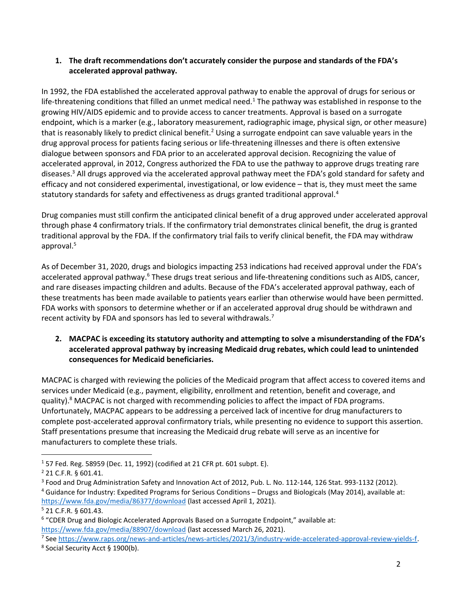# 1. The draft recommendations don't accurately consider the purpose and standards of the FDA's accelerated approval pathway.

In 1992, the FDA established the accelerated approval pathway to enable the approval of drugs for serious or life-threatening conditions that filled an unmet medical need.<sup>1</sup> The pathway was established in response to the growing HIV/AIDS epidemic and to provide access to cancer treatments. Approval is based on a surrogate endpoint, which is a marker (e.g., laboratory measurement, radiographic image, physical sign, or other measure) that is reasonably likely to predict clinical benefit.<sup>2</sup> Using a surrogate endpoint can save valuable years in the drug approval process for patients facing serious or life-threatening illnesses and there is often extensive dialogue between sponsors and FDA prior to an accelerated approval decision. Recognizing the value of accelerated approval, in 2012, Congress authorized the FDA to use the pathway to approve drugs treating rare diseases.<sup>3</sup> All drugs approved via the accelerated approval pathway meet the FDA's gold standard for safety and efficacy and not considered experimental, investigational, or low evidence – that is, they must meet the same statutory standards for safety and effectiveness as drugs granted traditional approval.<sup>4</sup>

Drug companies must still confirm the anticipated clinical benefit of a drug approved under accelerated approval through phase 4 confirmatory trials. If the confirmatory trial demonstrates clinical benefit, the drug is granted traditional approval by the FDA. If the confirmatory trial fails to verify clinical benefit, the FDA may withdraw approval.<sup>5</sup>

As of December 31, 2020, drugs and biologics impacting 253 indications had received approval under the FDA's accelerated approval pathway.<sup>6</sup> These drugs treat serious and life-threatening conditions such as AIDS, cancer, and rare diseases impacting children and adults. Because of the FDA's accelerated approval pathway, each of these treatments has been made available to patients years earlier than otherwise would have been permitted. FDA works with sponsors to determine whether or if an accelerated approval drug should be withdrawn and recent activity by FDA and sponsors has led to several withdrawals.<sup>7</sup>

2. MACPAC is exceeding its statutory authority and attempting to solve a misunderstanding of the FDA's accelerated approval pathway by increasing Medicaid drug rebates, which could lead to unintended consequences for Medicaid beneficiaries.

MACPAC is charged with reviewing the policies of the Medicaid program that affect access to covered items and services under Medicaid (e.g., payment, eligibility, enrollment and retention, benefit and coverage, and quality).<sup>8</sup> MACPAC is not charged with recommending policies to affect the impact of FDA programs. Unfortunately, MACPAC appears to be addressing a perceived lack of incentive for drug manufacturers to complete post-accelerated approval confirmatory trials, while presenting no evidence to support this assertion. Staff presentations presume that increasing the Medicaid drug rebate will serve as an incentive for manufacturers to complete these trials.

8 Social Security Acct § 1900(b).

 $1$  57 Fed. Reg. 58959 (Dec. 11, 1992) (codified at 21 CFR pt. 601 subpt. E).

<sup>2</sup> 21 C.F.R. § 601.41.

<sup>&</sup>lt;sup>3</sup> Food and Drug Administration Safety and Innovation Act of 2012, Pub. L. No. 112-144, 126 Stat. 993-1132 (2012). 4 Guidance for Industry: Expedited Programs for Serious Conditions – Drugss and Biologicals (May 2014), available at: https://www.fda.gov/media/86377/download (last accessed April 1, 2021).

 $5$  21 C.F.R. § 601.43.

<sup>&</sup>lt;sup>6</sup> "CDER Drug and Biologic Accelerated Approvals Based on a Surrogate Endpoint," available at: https://www.fda.gov/media/88907/download (last accessed March 26, 2021).

<sup>&</sup>lt;sup>7</sup> See https://www.raps.org/news-and-articles/news-articles/2021/3/industry-wide-accelerated-approval-review-yields-f.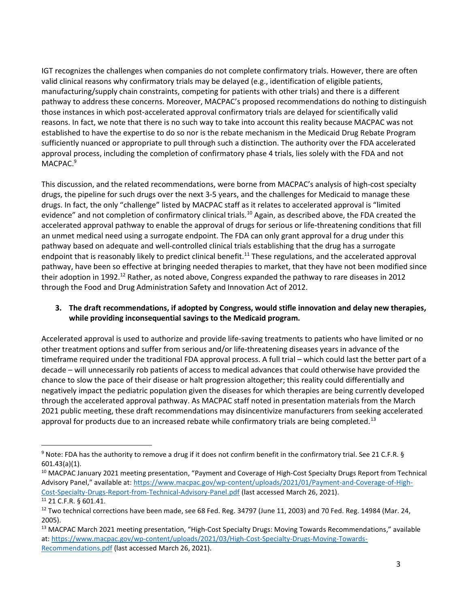IGT recognizes the challenges when companies do not complete confirmatory trials. However, there are often valid clinical reasons why confirmatory trials may be delayed (e.g., identification of eligible patients, manufacturing/supply chain constraints, competing for patients with other trials) and there is a different pathway to address these concerns. Moreover, MACPAC's proposed recommendations do nothing to distinguish those instances in which post-accelerated approval confirmatory trials are delayed for scientifically valid reasons. In fact, we note that there is no such way to take into account this reality because MACPAC was not established to have the expertise to do so nor is the rebate mechanism in the Medicaid Drug Rebate Program sufficiently nuanced or appropriate to pull through such a distinction. The authority over the FDA accelerated approval process, including the completion of confirmatory phase 4 trials, lies solely with the FDA and not MACPAC.<sup>9</sup>

This discussion, and the related recommendations, were borne from MACPAC's analysis of high-cost specialty drugs, the pipeline for such drugs over the next 3-5 years, and the challenges for Medicaid to manage these drugs. In fact, the only "challenge" listed by MACPAC staff as it relates to accelerated approval is "limited evidence" and not completion of confirmatory clinical trials.<sup>10</sup> Again, as described above, the FDA created the accelerated approval pathway to enable the approval of drugs for serious or life-threatening conditions that fill an unmet medical need using a surrogate endpoint. The FDA can only grant approval for a drug under this pathway based on adequate and well-controlled clinical trials establishing that the drug has a surrogate endpoint that is reasonably likely to predict clinical benefit.<sup>11</sup> These regulations, and the accelerated approval pathway, have been so effective at bringing needed therapies to market, that they have not been modified since their adoption in 1992.<sup>12</sup> Rather, as noted above, Congress expanded the pathway to rare diseases in 2012 through the Food and Drug Administration Safety and Innovation Act of 2012.

# 3. The draft recommendations, if adopted by Congress, would stifle innovation and delay new therapies, while providing inconsequential savings to the Medicaid program.

Accelerated approval is used to authorize and provide life-saving treatments to patients who have limited or no other treatment options and suffer from serious and/or life-threatening diseases years in advance of the timeframe required under the traditional FDA approval process. A full trial – which could last the better part of a decade – will unnecessarily rob patients of access to medical advances that could otherwise have provided the chance to slow the pace of their disease or halt progression altogether; this reality could differentially and negatively impact the pediatric population given the diseases for which therapies are being currently developed through the accelerated approval pathway. As MACPAC staff noted in presentation materials from the March 2021 public meeting, these draft recommendations may disincentivize manufacturers from seeking accelerated approval for products due to an increased rebate while confirmatory trials are being completed.<sup>13</sup>

<sup>&</sup>lt;sup>9</sup> Note: FDA has the authority to remove a drug if it does not confirm benefit in the confirmatory trial. See 21 C.F.R. § 601.43(a)(1).

<sup>&</sup>lt;sup>10</sup> MACPAC January 2021 meeting presentation, "Payment and Coverage of High-Cost Specialty Drugs Report from Technical Advisory Panel," available at: https://www.macpac.gov/wp-content/uploads/2021/01/Payment-and-Coverage-of-High-Cost-Specialty-Drugs-Report-from-Technical-Advisory-Panel.pdf (last accessed March 26, 2021). <sup>11</sup> 21 C.F.R. § 601.41.

 $12$  Two technical corrections have been made, see 68 Fed. Reg. 34797 (June 11, 2003) and 70 Fed. Reg. 14984 (Mar. 24, 2005).

<sup>13</sup> MACPAC March 2021 meeting presentation, "High-Cost Specialty Drugs: Moving Towards Recommendations," available at: https://www.macpac.gov/wp-content/uploads/2021/03/High-Cost-Specialty-Drugs-Moving-Towards-Recommendations.pdf (last accessed March 26, 2021).